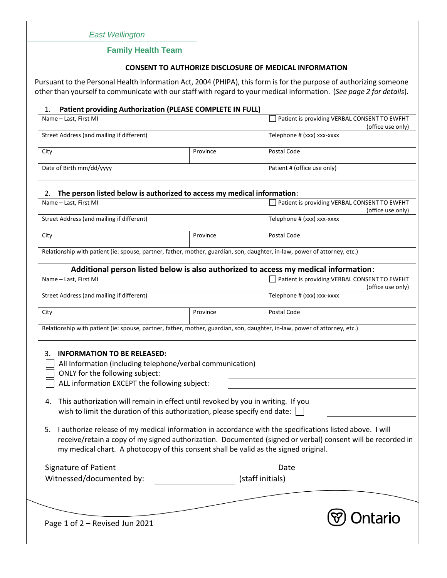# *East Wellington*

## **Family Health Team**

## **CONSENT TO AUTHORIZE DISCLOSURE OF MEDICAL INFORMATION**

Pursuant to the Personal Health Information Act, 2004 (PHIPA), this form is for the purpose of authorizing someone other than yourself to communicate with our staff with regard to your medical information. (*See page 2 for details*).

## 1. **Patient providing Authorization (PLEASE COMPLETE IN FULL)**

| Name – Last, First MI                     |          | Patient is providing VERBAL CONSENT TO EWFHT |  |
|-------------------------------------------|----------|----------------------------------------------|--|
|                                           |          | (office use only)                            |  |
| Street Address (and mailing if different) |          | Telephone # (xxx) xxx-xxxx                   |  |
|                                           |          |                                              |  |
| City                                      | Province | Postal Code                                  |  |
|                                           |          |                                              |  |
| Date of Birth mm/dd/yyyy                  |          | Patient # (office use only)                  |  |
|                                           |          |                                              |  |

### 2. **The person listed below is authorized to access my medical information**:

| Name – Last, First MI                                                                                                     |          | Patient is providing VERBAL CONSENT TO EWFHT |  |  |
|---------------------------------------------------------------------------------------------------------------------------|----------|----------------------------------------------|--|--|
|                                                                                                                           |          | (office use only)                            |  |  |
| Street Address (and mailing if different)                                                                                 |          | Telephone # (xxx) xxx-xxxx                   |  |  |
|                                                                                                                           |          |                                              |  |  |
| City                                                                                                                      | Province | Postal Code                                  |  |  |
|                                                                                                                           |          |                                              |  |  |
| Relationship with patient (ie: spouse, partner, father, mother, guardian, son, daughter, in-law, power of attorney, etc.) |          |                                              |  |  |

## **Additional person listed below is also authorized to access my medical information**:

| Name - Last, First MI                                                                                                                                                                                                                                                                                                                                                                                                                                                                                                                                                                                                                                                                                                                                                       |          | Patient is providing VERBAL CONSENT TO EWFHT    |  |  |  |  |  |
|-----------------------------------------------------------------------------------------------------------------------------------------------------------------------------------------------------------------------------------------------------------------------------------------------------------------------------------------------------------------------------------------------------------------------------------------------------------------------------------------------------------------------------------------------------------------------------------------------------------------------------------------------------------------------------------------------------------------------------------------------------------------------------|----------|-------------------------------------------------|--|--|--|--|--|
| Street Address (and mailing if different)                                                                                                                                                                                                                                                                                                                                                                                                                                                                                                                                                                                                                                                                                                                                   |          | (office use only)<br>Telephone # (xxx) xxx-xxxx |  |  |  |  |  |
| City                                                                                                                                                                                                                                                                                                                                                                                                                                                                                                                                                                                                                                                                                                                                                                        | Province | Postal Code                                     |  |  |  |  |  |
| Relationship with patient (ie: spouse, partner, father, mother, guardian, son, daughter, in-law, power of attorney, etc.)                                                                                                                                                                                                                                                                                                                                                                                                                                                                                                                                                                                                                                                   |          |                                                 |  |  |  |  |  |
| <b>INFORMATION TO BE RELEASED:</b><br>3.<br>All Information (including telephone/verbal communication)<br>ONLY for the following subject:<br>ALL information EXCEPT the following subject:<br>This authorization will remain in effect until revoked by you in writing. If you<br>4.<br>wish to limit the duration of this authorization, please specify end date:<br>I authorize release of my medical information in accordance with the specifications listed above. I will<br>5.<br>receive/retain a copy of my signed authorization. Documented (signed or verbal) consent will be recorded in<br>my medical chart. A photocopy of this consent shall be valid as the signed original.<br>Signature of Patient<br>Date<br>(staff initials)<br>Witnessed/documented by: |          |                                                 |  |  |  |  |  |
| Page 1 of 2 - Revised Jun 2021                                                                                                                                                                                                                                                                                                                                                                                                                                                                                                                                                                                                                                                                                                                                              |          |                                                 |  |  |  |  |  |